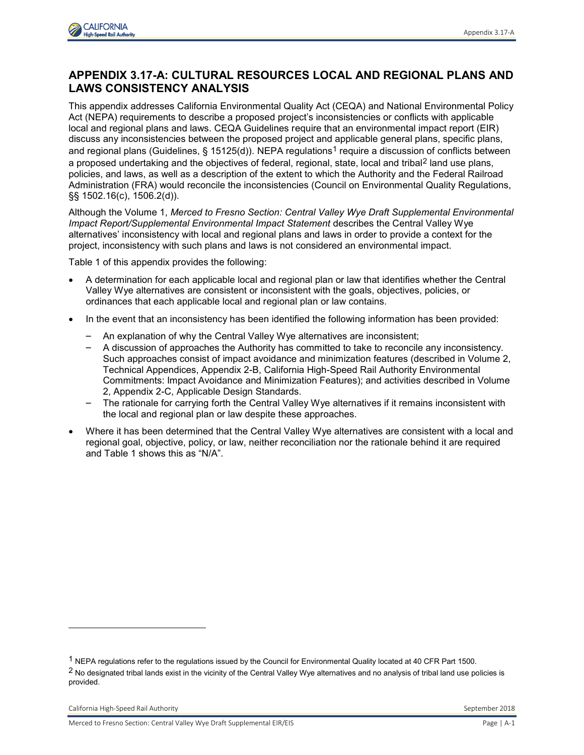

## **APPENDIX 3.17-A: CULTURAL RESOURCES LOCAL AND REGIONAL PLANS AND LAWS CONSISTENCY ANALYSIS**

This appendix addresses California Environmental Quality Act (CEQA) and National Environmental Policy Act (NEPA) requirements to describe a proposed project's inconsistencies or conflicts with applicable local and regional plans and laws. CEQA Guidelines require that an environmental impact report (EIR) discuss any inconsistencies between the proposed project and applicable general plans, specific plans, and regional plans (Guidelines, § 15125(d)). NEPA regulations<sup>1</sup> require a discussion of conflicts between a proposed undertaking and the objectives of federal, regional, state, local and tribal<sup>2</sup> land use plans, policies, and laws, as well as a description of the extent to which the Authority and the Federal Railroad Administration (FRA) would reconcile the inconsistencies (Council on Environmental Quality Regulations, §§ 1502.16(c), 1506.2(d)).

Although the Volume 1, *Merced to Fresno Section: Central Valley Wye Draft Supplemental Environmental Impact Report/Supplemental Environmental Impact Statement* describes the Central Valley Wye alternatives' inconsistency with local and regional plans and laws in order to provide a context for the project, inconsistency with such plans and laws is not considered an environmental impact.

Table 1 of this appendix provides the following:

- A determination for each applicable local and regional plan or law that identifies whether the Central Valley Wye alternatives are consistent or inconsistent with the goals, objectives, policies, or ordinances that each applicable local and regional plan or law contains.
- In the event that an inconsistency has been identified the following information has been provided:
	- An explanation of why the Central Valley Wye alternatives are inconsistent;
	- A discussion of approaches the Authority has committed to take to reconcile any inconsistency. Such approaches consist of impact avoidance and minimization features (described in Volume 2, Technical Appendices, Appendix 2-B, California High-Speed Rail Authority Environmental Commitments: Impact Avoidance and Minimization Features); and activities described in Volume 2, Appendix 2-C, Applicable Design Standards.
	- The rationale for carrying forth the Central Valley Wye alternatives if it remains inconsistent with the local and regional plan or law despite these approaches.
- Where it has been determined that the Central Valley Wye alternatives are consistent with a local and regional goal, objective, policy, or law, neither reconciliation nor the rationale behind it are required and Table 1 shows this as "N/A".

-

<sup>&</sup>lt;sup>1</sup> NEPA regulations refer to the regulations issued by the Council for Environmental Quality located at 40 CFR Part 1500.

<sup>&</sup>lt;sup>2</sup> No designated tribal lands exist in the vicinity of the Central Valley Wye alternatives and no analysis of tribal land use policies is provided.

California High-Speed Rail Authority September 2018

Merced to Fresno Section: Central Valley Wye Draft Supplemental EIR/EIS Page | A-1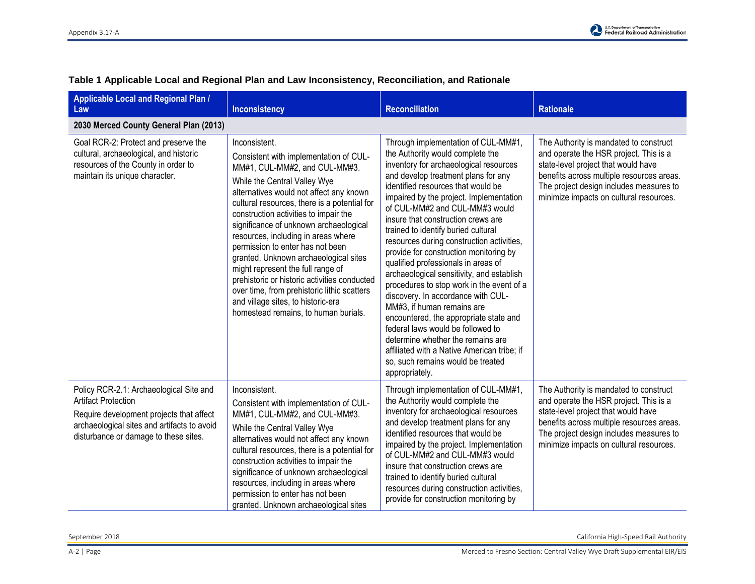| <b>Applicable Local and Regional Plan /</b><br>Law                                                                                                                                                        | <b>Inconsistency</b>                                                                                                                                                                                                                                                                                                                                                                                                                                                                                                                                                                                                                         | <b>Reconciliation</b>                                                                                                                                                                                                                                                                                                                                                                                                                                                                                                                                                                                                                                                                                                                                                                                                                                                          | <b>Rationale</b>                                                                                                                                                                                                                                           |
|-----------------------------------------------------------------------------------------------------------------------------------------------------------------------------------------------------------|----------------------------------------------------------------------------------------------------------------------------------------------------------------------------------------------------------------------------------------------------------------------------------------------------------------------------------------------------------------------------------------------------------------------------------------------------------------------------------------------------------------------------------------------------------------------------------------------------------------------------------------------|--------------------------------------------------------------------------------------------------------------------------------------------------------------------------------------------------------------------------------------------------------------------------------------------------------------------------------------------------------------------------------------------------------------------------------------------------------------------------------------------------------------------------------------------------------------------------------------------------------------------------------------------------------------------------------------------------------------------------------------------------------------------------------------------------------------------------------------------------------------------------------|------------------------------------------------------------------------------------------------------------------------------------------------------------------------------------------------------------------------------------------------------------|
| 2030 Merced County General Plan (2013)                                                                                                                                                                    |                                                                                                                                                                                                                                                                                                                                                                                                                                                                                                                                                                                                                                              |                                                                                                                                                                                                                                                                                                                                                                                                                                                                                                                                                                                                                                                                                                                                                                                                                                                                                |                                                                                                                                                                                                                                                            |
| Goal RCR-2: Protect and preserve the<br>cultural, archaeological, and historic<br>resources of the County in order to<br>maintain its unique character.                                                   | Inconsistent.<br>Consistent with implementation of CUL-<br>MM#1, CUL-MM#2, and CUL-MM#3.<br>While the Central Valley Wye<br>alternatives would not affect any known<br>cultural resources, there is a potential for<br>construction activities to impair the<br>significance of unknown archaeological<br>resources, including in areas where<br>permission to enter has not been<br>granted. Unknown archaeological sites<br>might represent the full range of<br>prehistoric or historic activities conducted<br>over time, from prehistoric lithic scatters<br>and village sites, to historic-era<br>homestead remains, to human burials. | Through implementation of CUL-MM#1,<br>the Authority would complete the<br>inventory for archaeological resources<br>and develop treatment plans for any<br>identified resources that would be<br>impaired by the project. Implementation<br>of CUL-MM#2 and CUL-MM#3 would<br>insure that construction crews are<br>trained to identify buried cultural<br>resources during construction activities,<br>provide for construction monitoring by<br>qualified professionals in areas of<br>archaeological sensitivity, and establish<br>procedures to stop work in the event of a<br>discovery. In accordance with CUL-<br>MM#3, if human remains are<br>encountered, the appropriate state and<br>federal laws would be followed to<br>determine whether the remains are<br>affiliated with a Native American tribe; if<br>so, such remains would be treated<br>appropriately. | The Authority is mandated to construct<br>and operate the HSR project. This is a<br>state-level project that would have<br>benefits across multiple resources areas.<br>The project design includes measures to<br>minimize impacts on cultural resources. |
| Policy RCR-2.1: Archaeological Site and<br><b>Artifact Protection</b><br>Require development projects that affect<br>archaeological sites and artifacts to avoid<br>disturbance or damage to these sites. | Inconsistent.<br>Consistent with implementation of CUL-<br>MM#1, CUL-MM#2, and CUL-MM#3.<br>While the Central Valley Wye<br>alternatives would not affect any known<br>cultural resources, there is a potential for<br>construction activities to impair the<br>significance of unknown archaeological<br>resources, including in areas where<br>permission to enter has not been<br>granted. Unknown archaeological sites                                                                                                                                                                                                                   | Through implementation of CUL-MM#1,<br>the Authority would complete the<br>inventory for archaeological resources<br>and develop treatment plans for any<br>identified resources that would be<br>impaired by the project. Implementation<br>of CUL-MM#2 and CUL-MM#3 would<br>insure that construction crews are<br>trained to identify buried cultural<br>resources during construction activities,<br>provide for construction monitoring by                                                                                                                                                                                                                                                                                                                                                                                                                                | The Authority is mandated to construct<br>and operate the HSR project. This is a<br>state-level project that would have<br>benefits across multiple resources areas.<br>The project design includes measures to<br>minimize impacts on cultural resources. |

## **Table 1 Applicable Local and Regional Plan and Law Inconsistency, Reconciliation, and Rationale**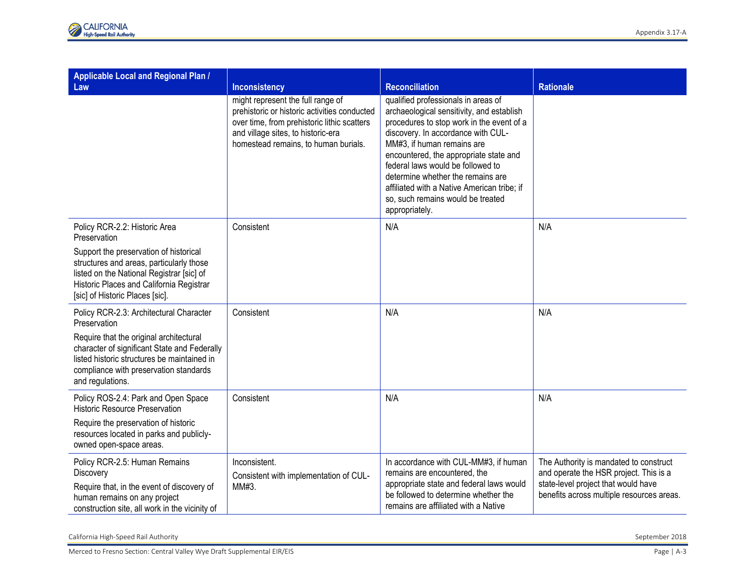| <b>Applicable Local and Regional Plan /</b><br>Law                                                                                                                                                             | <b>Inconsistency</b>                                                                                                                                                                                           | <b>Reconciliation</b>                                                                                                                                                                                                                                                                                                                                                                                                       | <b>Rationale</b>                                                                                                                                                     |
|----------------------------------------------------------------------------------------------------------------------------------------------------------------------------------------------------------------|----------------------------------------------------------------------------------------------------------------------------------------------------------------------------------------------------------------|-----------------------------------------------------------------------------------------------------------------------------------------------------------------------------------------------------------------------------------------------------------------------------------------------------------------------------------------------------------------------------------------------------------------------------|----------------------------------------------------------------------------------------------------------------------------------------------------------------------|
|                                                                                                                                                                                                                | might represent the full range of<br>prehistoric or historic activities conducted<br>over time, from prehistoric lithic scatters<br>and village sites, to historic-era<br>homestead remains, to human burials. | qualified professionals in areas of<br>archaeological sensitivity, and establish<br>procedures to stop work in the event of a<br>discovery. In accordance with CUL-<br>MM#3, if human remains are<br>encountered, the appropriate state and<br>federal laws would be followed to<br>determine whether the remains are<br>affiliated with a Native American tribe; if<br>so, such remains would be treated<br>appropriately. |                                                                                                                                                                      |
| Policy RCR-2.2: Historic Area<br>Preservation                                                                                                                                                                  | Consistent                                                                                                                                                                                                     | N/A                                                                                                                                                                                                                                                                                                                                                                                                                         | N/A                                                                                                                                                                  |
| Support the preservation of historical<br>structures and areas, particularly those<br>listed on the National Registrar [sic] of<br>Historic Places and California Registrar<br>[sic] of Historic Places [sic]. |                                                                                                                                                                                                                |                                                                                                                                                                                                                                                                                                                                                                                                                             |                                                                                                                                                                      |
| Policy RCR-2.3: Architectural Character<br>Preservation                                                                                                                                                        | Consistent                                                                                                                                                                                                     | N/A                                                                                                                                                                                                                                                                                                                                                                                                                         | N/A                                                                                                                                                                  |
| Require that the original architectural<br>character of significant State and Federally<br>listed historic structures be maintained in<br>compliance with preservation standards<br>and regulations.           |                                                                                                                                                                                                                |                                                                                                                                                                                                                                                                                                                                                                                                                             |                                                                                                                                                                      |
| Policy ROS-2.4: Park and Open Space<br><b>Historic Resource Preservation</b>                                                                                                                                   | Consistent                                                                                                                                                                                                     | N/A                                                                                                                                                                                                                                                                                                                                                                                                                         | N/A                                                                                                                                                                  |
| Require the preservation of historic<br>resources located in parks and publicly-<br>owned open-space areas.                                                                                                    |                                                                                                                                                                                                                |                                                                                                                                                                                                                                                                                                                                                                                                                             |                                                                                                                                                                      |
| Policy RCR-2.5: Human Remains<br>Discovery<br>Require that, in the event of discovery of<br>human remains on any project<br>construction site, all work in the vicinity of                                     | Inconsistent.<br>Consistent with implementation of CUL-<br>MM#3.                                                                                                                                               | In accordance with CUL-MM#3, if human<br>remains are encountered, the<br>appropriate state and federal laws would<br>be followed to determine whether the<br>remains are affiliated with a Native                                                                                                                                                                                                                           | The Authority is mandated to construct<br>and operate the HSR project. This is a<br>state-level project that would have<br>benefits across multiple resources areas. |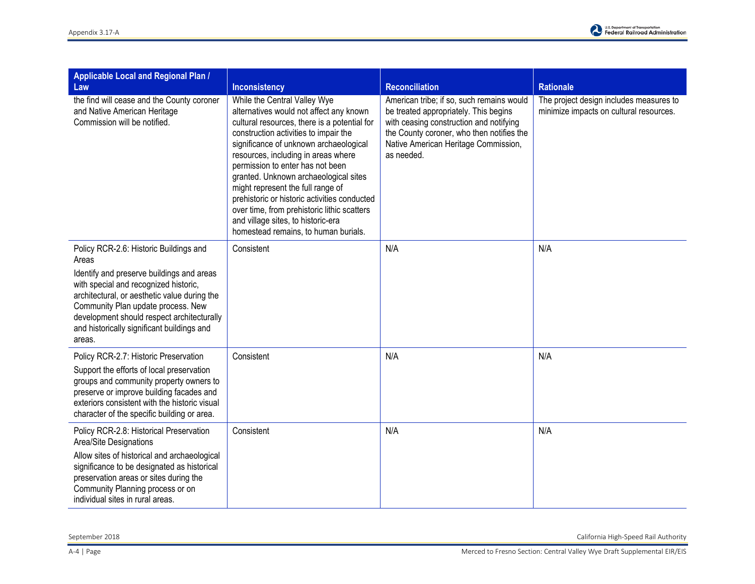| <b>Applicable Local and Regional Plan /</b><br>Law                                                                                                                                                                                                                                                                                | <b>Inconsistency</b>                                                                                                                                                                                                                                                                                                                                                                                                                                                                                                                             | <b>Reconciliation</b>                                                                                                                                                                                                            | <b>Rationale</b>                                                                   |
|-----------------------------------------------------------------------------------------------------------------------------------------------------------------------------------------------------------------------------------------------------------------------------------------------------------------------------------|--------------------------------------------------------------------------------------------------------------------------------------------------------------------------------------------------------------------------------------------------------------------------------------------------------------------------------------------------------------------------------------------------------------------------------------------------------------------------------------------------------------------------------------------------|----------------------------------------------------------------------------------------------------------------------------------------------------------------------------------------------------------------------------------|------------------------------------------------------------------------------------|
| the find will cease and the County coroner<br>and Native American Heritage<br>Commission will be notified.                                                                                                                                                                                                                        | While the Central Valley Wye<br>alternatives would not affect any known<br>cultural resources, there is a potential for<br>construction activities to impair the<br>significance of unknown archaeological<br>resources, including in areas where<br>permission to enter has not been<br>granted. Unknown archaeological sites<br>might represent the full range of<br>prehistoric or historic activities conducted<br>over time, from prehistoric lithic scatters<br>and village sites, to historic-era<br>homestead remains, to human burials. | American tribe; if so, such remains would<br>be treated appropriately. This begins<br>with ceasing construction and notifying<br>the County coroner, who then notifies the<br>Native American Heritage Commission,<br>as needed. | The project design includes measures to<br>minimize impacts on cultural resources. |
| Policy RCR-2.6: Historic Buildings and<br>Areas<br>Identify and preserve buildings and areas<br>with special and recognized historic,<br>architectural, or aesthetic value during the<br>Community Plan update process. New<br>development should respect architecturally<br>and historically significant buildings and<br>areas. | Consistent                                                                                                                                                                                                                                                                                                                                                                                                                                                                                                                                       | N/A                                                                                                                                                                                                                              | N/A                                                                                |
| Policy RCR-2.7: Historic Preservation<br>Support the efforts of local preservation<br>groups and community property owners to<br>preserve or improve building facades and<br>exteriors consistent with the historic visual<br>character of the specific building or area.                                                         | Consistent                                                                                                                                                                                                                                                                                                                                                                                                                                                                                                                                       | N/A                                                                                                                                                                                                                              | N/A                                                                                |
| Policy RCR-2.8: Historical Preservation<br>Area/Site Designations<br>Allow sites of historical and archaeological<br>significance to be designated as historical<br>preservation areas or sites during the<br>Community Planning process or on<br>individual sites in rural areas.                                                | Consistent                                                                                                                                                                                                                                                                                                                                                                                                                                                                                                                                       | N/A                                                                                                                                                                                                                              | N/A                                                                                |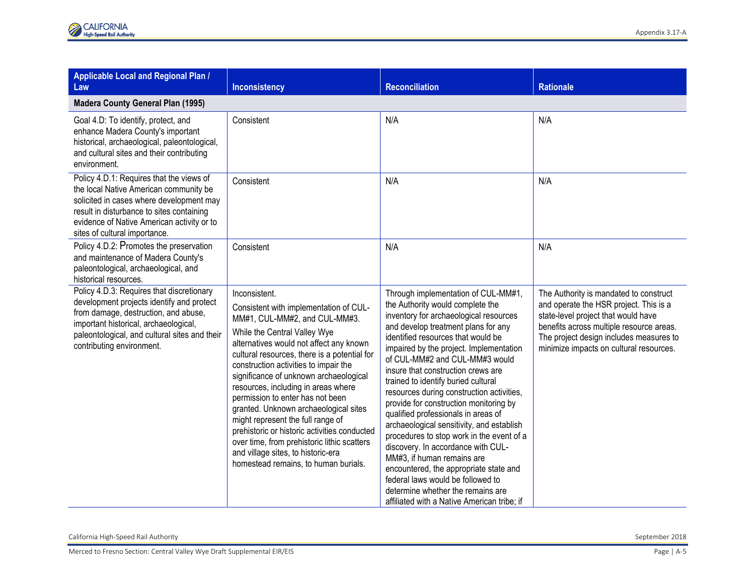| <b>Applicable Local and Regional Plan /</b><br>Law                                                                                                                                                                                                         | <b>Inconsistency</b>                                                                                                                                                                                                                                                                                                                                                                                                                                                                                                                                                                                                                         | <b>Reconciliation</b>                                                                                                                                                                                                                                                                                                                                                                                                                                                                                                                                                                                                                                                                                                                                                                                                   | <b>Rationale</b>                                                                                                                                                                                                                                          |
|------------------------------------------------------------------------------------------------------------------------------------------------------------------------------------------------------------------------------------------------------------|----------------------------------------------------------------------------------------------------------------------------------------------------------------------------------------------------------------------------------------------------------------------------------------------------------------------------------------------------------------------------------------------------------------------------------------------------------------------------------------------------------------------------------------------------------------------------------------------------------------------------------------------|-------------------------------------------------------------------------------------------------------------------------------------------------------------------------------------------------------------------------------------------------------------------------------------------------------------------------------------------------------------------------------------------------------------------------------------------------------------------------------------------------------------------------------------------------------------------------------------------------------------------------------------------------------------------------------------------------------------------------------------------------------------------------------------------------------------------------|-----------------------------------------------------------------------------------------------------------------------------------------------------------------------------------------------------------------------------------------------------------|
| <b>Madera County General Plan (1995)</b>                                                                                                                                                                                                                   |                                                                                                                                                                                                                                                                                                                                                                                                                                                                                                                                                                                                                                              |                                                                                                                                                                                                                                                                                                                                                                                                                                                                                                                                                                                                                                                                                                                                                                                                                         |                                                                                                                                                                                                                                                           |
| Goal 4.D: To identify, protect, and<br>enhance Madera County's important<br>historical, archaeological, paleontological,<br>and cultural sites and their contributing<br>environment.                                                                      | Consistent                                                                                                                                                                                                                                                                                                                                                                                                                                                                                                                                                                                                                                   | N/A                                                                                                                                                                                                                                                                                                                                                                                                                                                                                                                                                                                                                                                                                                                                                                                                                     | N/A                                                                                                                                                                                                                                                       |
| Policy 4.D.1: Requires that the views of<br>the local Native American community be<br>solicited in cases where development may<br>result in disturbance to sites containing<br>evidence of Native American activity or to<br>sites of cultural importance. | Consistent                                                                                                                                                                                                                                                                                                                                                                                                                                                                                                                                                                                                                                   | N/A                                                                                                                                                                                                                                                                                                                                                                                                                                                                                                                                                                                                                                                                                                                                                                                                                     | N/A                                                                                                                                                                                                                                                       |
| Policy 4.D.2: Promotes the preservation<br>and maintenance of Madera County's<br>paleontological, archaeological, and<br>historical resources.                                                                                                             | Consistent                                                                                                                                                                                                                                                                                                                                                                                                                                                                                                                                                                                                                                   | N/A                                                                                                                                                                                                                                                                                                                                                                                                                                                                                                                                                                                                                                                                                                                                                                                                                     | N/A                                                                                                                                                                                                                                                       |
| Policy 4.D.3: Requires that discretionary<br>development projects identify and protect<br>from damage, destruction, and abuse,<br>important historical, archaeological,<br>paleontological, and cultural sites and their<br>contributing environment.      | Inconsistent.<br>Consistent with implementation of CUL-<br>MM#1, CUL-MM#2, and CUL-MM#3.<br>While the Central Valley Wye<br>alternatives would not affect any known<br>cultural resources, there is a potential for<br>construction activities to impair the<br>significance of unknown archaeological<br>resources, including in areas where<br>permission to enter has not been<br>granted. Unknown archaeological sites<br>might represent the full range of<br>prehistoric or historic activities conducted<br>over time, from prehistoric lithic scatters<br>and village sites, to historic-era<br>homestead remains, to human burials. | Through implementation of CUL-MM#1,<br>the Authority would complete the<br>inventory for archaeological resources<br>and develop treatment plans for any<br>identified resources that would be<br>impaired by the project. Implementation<br>of CUL-MM#2 and CUL-MM#3 would<br>insure that construction crews are<br>trained to identify buried cultural<br>resources during construction activities,<br>provide for construction monitoring by<br>qualified professionals in areas of<br>archaeological sensitivity, and establish<br>procedures to stop work in the event of a<br>discovery. In accordance with CUL-<br>MM#3, if human remains are<br>encountered, the appropriate state and<br>federal laws would be followed to<br>determine whether the remains are<br>affiliated with a Native American tribe; if | The Authority is mandated to construct<br>and operate the HSR project. This is a<br>state-level project that would have<br>benefits across multiple resource areas.<br>The project design includes measures to<br>minimize impacts on cultural resources. |

California High-Speed Rail Authority September 2018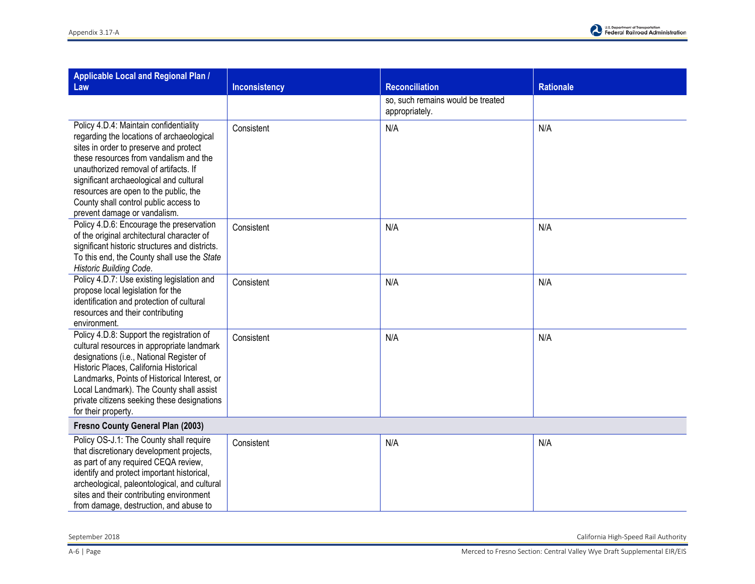| <b>Applicable Local and Regional Plan /</b><br>Law                                                                                                                                                                                                                                                                                                                            | <b>Inconsistency</b> | <b>Reconciliation</b>                               | <b>Rationale</b> |
|-------------------------------------------------------------------------------------------------------------------------------------------------------------------------------------------------------------------------------------------------------------------------------------------------------------------------------------------------------------------------------|----------------------|-----------------------------------------------------|------------------|
|                                                                                                                                                                                                                                                                                                                                                                               |                      | so, such remains would be treated<br>appropriately. |                  |
| Policy 4.D.4: Maintain confidentiality<br>regarding the locations of archaeological<br>sites in order to preserve and protect<br>these resources from vandalism and the<br>unauthorized removal of artifacts. If<br>significant archaeological and cultural<br>resources are open to the public, the<br>County shall control public access to<br>prevent damage or vandalism. | Consistent           | N/A                                                 | N/A              |
| Policy 4.D.6: Encourage the preservation<br>of the original architectural character of<br>significant historic structures and districts.<br>To this end, the County shall use the State<br>Historic Building Code.                                                                                                                                                            | Consistent           | N/A                                                 | N/A              |
| Policy 4.D.7: Use existing legislation and<br>propose local legislation for the<br>identification and protection of cultural<br>resources and their contributing<br>environment.                                                                                                                                                                                              | Consistent           | N/A                                                 | N/A              |
| Policy 4.D.8: Support the registration of<br>cultural resources in appropriate landmark<br>designations (i.e., National Register of<br>Historic Places, California Historical<br>Landmarks, Points of Historical Interest, or<br>Local Landmark). The County shall assist<br>private citizens seeking these designations<br>for their property.                               | Consistent           | N/A                                                 | N/A              |
| Fresno County General Plan (2003)                                                                                                                                                                                                                                                                                                                                             |                      |                                                     |                  |
| Policy OS-J.1: The County shall require<br>that discretionary development projects,<br>as part of any required CEQA review,<br>identify and protect important historical,<br>archeological, paleontological, and cultural<br>sites and their contributing environment<br>from damage, destruction, and abuse to                                                               | Consistent           | N/A                                                 | N/A              |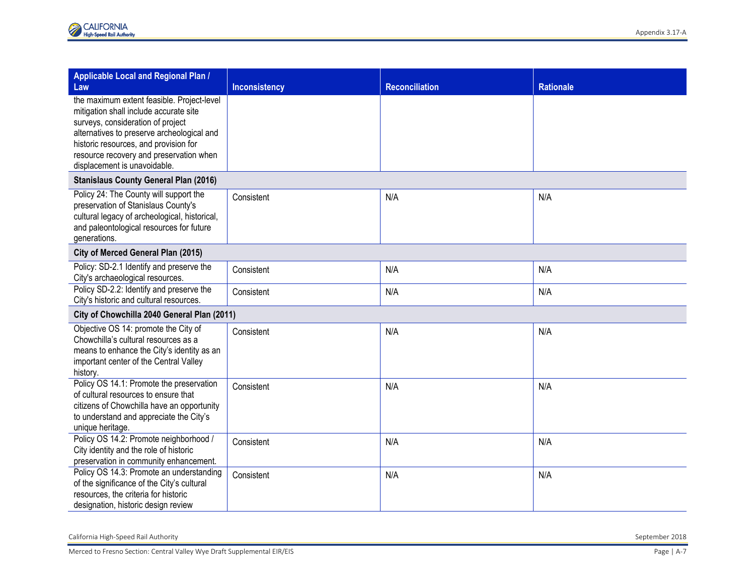| <b>Applicable Local and Regional Plan /</b>                                                                                                                                                                                                                                                 |                      |                       |                  |  |
|---------------------------------------------------------------------------------------------------------------------------------------------------------------------------------------------------------------------------------------------------------------------------------------------|----------------------|-----------------------|------------------|--|
| Law                                                                                                                                                                                                                                                                                         | <b>Inconsistency</b> | <b>Reconciliation</b> | <b>Rationale</b> |  |
| the maximum extent feasible. Project-level<br>mitigation shall include accurate site<br>surveys, consideration of project<br>alternatives to preserve archeological and<br>historic resources, and provision for<br>resource recovery and preservation when<br>displacement is unavoidable. |                      |                       |                  |  |
| <b>Stanislaus County General Plan (2016)</b>                                                                                                                                                                                                                                                |                      |                       |                  |  |
| Policy 24: The County will support the<br>preservation of Stanislaus County's<br>cultural legacy of archeological, historical,<br>and paleontological resources for future<br>generations.                                                                                                  | Consistent           | N/A                   | N/A              |  |
| City of Merced General Plan (2015)                                                                                                                                                                                                                                                          |                      |                       |                  |  |
| Policy: SD-2.1 Identify and preserve the<br>City's archaeological resources.                                                                                                                                                                                                                | Consistent           | N/A                   | N/A              |  |
| Policy SD-2.2: Identify and preserve the<br>City's historic and cultural resources.                                                                                                                                                                                                         | Consistent           | N/A                   | N/A              |  |
| City of Chowchilla 2040 General Plan (2011)                                                                                                                                                                                                                                                 |                      |                       |                  |  |
| Objective OS 14: promote the City of<br>Chowchilla's cultural resources as a<br>means to enhance the City's identity as an<br>important center of the Central Valley<br>history.                                                                                                            | Consistent           | N/A                   | N/A              |  |
| Policy OS 14.1: Promote the preservation<br>of cultural resources to ensure that<br>citizens of Chowchilla have an opportunity<br>to understand and appreciate the City's<br>unique heritage.                                                                                               | Consistent           | N/A                   | N/A              |  |
| Policy OS 14.2: Promote neighborhood /<br>City identity and the role of historic<br>preservation in community enhancement.                                                                                                                                                                  | Consistent           | N/A                   | N/A              |  |
| Policy OS 14.3: Promote an understanding<br>of the significance of the City's cultural<br>resources, the criteria for historic<br>designation, historic design review                                                                                                                       | Consistent           | N/A                   | N/A              |  |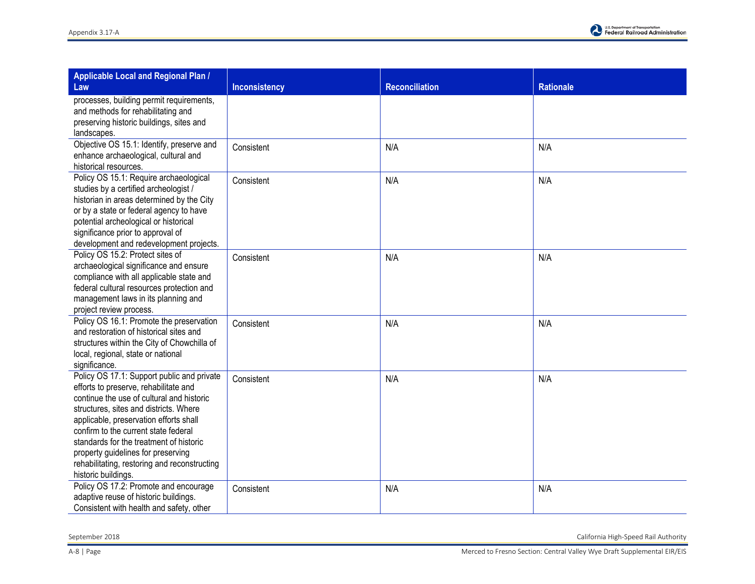

| <b>Applicable Local and Regional Plan /</b><br>Law                                                                                                                                                                                                                                                                                                                                                                   | Inconsistency | <b>Reconciliation</b> | <b>Rationale</b> |
|----------------------------------------------------------------------------------------------------------------------------------------------------------------------------------------------------------------------------------------------------------------------------------------------------------------------------------------------------------------------------------------------------------------------|---------------|-----------------------|------------------|
| processes, building permit requirements,<br>and methods for rehabilitating and<br>preserving historic buildings, sites and<br>landscapes.                                                                                                                                                                                                                                                                            |               |                       |                  |
| Objective OS 15.1: Identify, preserve and<br>enhance archaeological, cultural and<br>historical resources.                                                                                                                                                                                                                                                                                                           | Consistent    | N/A                   | N/A              |
| Policy OS 15.1: Require archaeological<br>studies by a certified archeologist /<br>historian in areas determined by the City<br>or by a state or federal agency to have<br>potential archeological or historical<br>significance prior to approval of<br>development and redevelopment projects.                                                                                                                     | Consistent    | N/A                   | N/A              |
| Policy OS 15.2: Protect sites of<br>archaeological significance and ensure<br>compliance with all applicable state and<br>federal cultural resources protection and<br>management laws in its planning and<br>project review process.                                                                                                                                                                                | Consistent    | N/A                   | N/A              |
| Policy OS 16.1: Promote the preservation<br>and restoration of historical sites and<br>structures within the City of Chowchilla of<br>local, regional, state or national<br>significance.                                                                                                                                                                                                                            | Consistent    | N/A                   | N/A              |
| Policy OS 17.1: Support public and private<br>efforts to preserve, rehabilitate and<br>continue the use of cultural and historic<br>structures, sites and districts. Where<br>applicable, preservation efforts shall<br>confirm to the current state federal<br>standards for the treatment of historic<br>property guidelines for preserving<br>rehabilitating, restoring and reconstructing<br>historic buildings. | Consistent    | N/A                   | N/A              |
| Policy OS 17.2: Promote and encourage<br>adaptive reuse of historic buildings.<br>Consistent with health and safety, other                                                                                                                                                                                                                                                                                           | Consistent    | N/A                   | N/A              |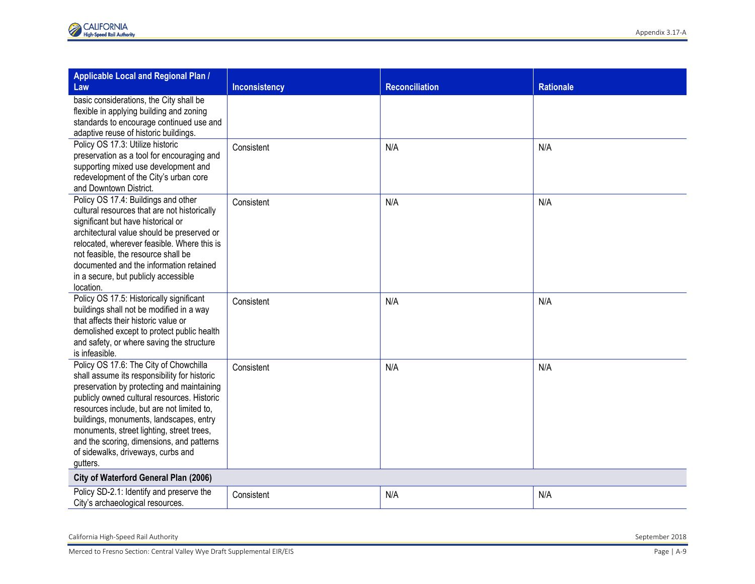| basic considerations, the City shall be<br>flexible in applying building and zoning<br>standards to encourage continued use and<br>adaptive reuse of historic buildings.<br>Policy OS 17.3: Utilize historic<br>N/A<br>N/A<br>Consistent<br>preservation as a tool for encouraging and<br>supporting mixed use development and<br>redevelopment of the City's urban core<br>and Downtown District.<br>Policy OS 17.4: Buildings and other<br>Consistent<br>N/A<br>N/A<br>cultural resources that are not historically<br>significant but have historical or<br>architectural value should be preserved or<br>relocated, wherever feasible. Where this is<br>not feasible, the resource shall be<br>documented and the information retained<br>in a secure, but publicly accessible<br>location.<br>Policy OS 17.5: Historically significant<br>N/A<br>N/A<br>Consistent<br>buildings shall not be modified in a way<br>that affects their historic value or<br>demolished except to protect public health<br>and safety, or where saving the structure<br>is infeasible.<br>Policy OS 17.6: The City of Chowchilla<br>N/A<br>N/A<br>Consistent<br>shall assume its responsibility for historic<br>preservation by protecting and maintaining | <b>Applicable Local and Regional Plan /</b> |                      |                       |                  |
|----------------------------------------------------------------------------------------------------------------------------------------------------------------------------------------------------------------------------------------------------------------------------------------------------------------------------------------------------------------------------------------------------------------------------------------------------------------------------------------------------------------------------------------------------------------------------------------------------------------------------------------------------------------------------------------------------------------------------------------------------------------------------------------------------------------------------------------------------------------------------------------------------------------------------------------------------------------------------------------------------------------------------------------------------------------------------------------------------------------------------------------------------------------------------------------------------------------------------------------------|---------------------------------------------|----------------------|-----------------------|------------------|
|                                                                                                                                                                                                                                                                                                                                                                                                                                                                                                                                                                                                                                                                                                                                                                                                                                                                                                                                                                                                                                                                                                                                                                                                                                              | Law                                         | <b>Inconsistency</b> | <b>Reconciliation</b> | <b>Rationale</b> |
|                                                                                                                                                                                                                                                                                                                                                                                                                                                                                                                                                                                                                                                                                                                                                                                                                                                                                                                                                                                                                                                                                                                                                                                                                                              |                                             |                      |                       |                  |
|                                                                                                                                                                                                                                                                                                                                                                                                                                                                                                                                                                                                                                                                                                                                                                                                                                                                                                                                                                                                                                                                                                                                                                                                                                              |                                             |                      |                       |                  |
|                                                                                                                                                                                                                                                                                                                                                                                                                                                                                                                                                                                                                                                                                                                                                                                                                                                                                                                                                                                                                                                                                                                                                                                                                                              |                                             |                      |                       |                  |
|                                                                                                                                                                                                                                                                                                                                                                                                                                                                                                                                                                                                                                                                                                                                                                                                                                                                                                                                                                                                                                                                                                                                                                                                                                              |                                             |                      |                       |                  |
|                                                                                                                                                                                                                                                                                                                                                                                                                                                                                                                                                                                                                                                                                                                                                                                                                                                                                                                                                                                                                                                                                                                                                                                                                                              |                                             |                      |                       |                  |
|                                                                                                                                                                                                                                                                                                                                                                                                                                                                                                                                                                                                                                                                                                                                                                                                                                                                                                                                                                                                                                                                                                                                                                                                                                              |                                             |                      |                       |                  |
|                                                                                                                                                                                                                                                                                                                                                                                                                                                                                                                                                                                                                                                                                                                                                                                                                                                                                                                                                                                                                                                                                                                                                                                                                                              |                                             |                      |                       |                  |
|                                                                                                                                                                                                                                                                                                                                                                                                                                                                                                                                                                                                                                                                                                                                                                                                                                                                                                                                                                                                                                                                                                                                                                                                                                              |                                             |                      |                       |                  |
|                                                                                                                                                                                                                                                                                                                                                                                                                                                                                                                                                                                                                                                                                                                                                                                                                                                                                                                                                                                                                                                                                                                                                                                                                                              |                                             |                      |                       |                  |
|                                                                                                                                                                                                                                                                                                                                                                                                                                                                                                                                                                                                                                                                                                                                                                                                                                                                                                                                                                                                                                                                                                                                                                                                                                              |                                             |                      |                       |                  |
|                                                                                                                                                                                                                                                                                                                                                                                                                                                                                                                                                                                                                                                                                                                                                                                                                                                                                                                                                                                                                                                                                                                                                                                                                                              |                                             |                      |                       |                  |
|                                                                                                                                                                                                                                                                                                                                                                                                                                                                                                                                                                                                                                                                                                                                                                                                                                                                                                                                                                                                                                                                                                                                                                                                                                              |                                             |                      |                       |                  |
|                                                                                                                                                                                                                                                                                                                                                                                                                                                                                                                                                                                                                                                                                                                                                                                                                                                                                                                                                                                                                                                                                                                                                                                                                                              |                                             |                      |                       |                  |
|                                                                                                                                                                                                                                                                                                                                                                                                                                                                                                                                                                                                                                                                                                                                                                                                                                                                                                                                                                                                                                                                                                                                                                                                                                              |                                             |                      |                       |                  |
|                                                                                                                                                                                                                                                                                                                                                                                                                                                                                                                                                                                                                                                                                                                                                                                                                                                                                                                                                                                                                                                                                                                                                                                                                                              |                                             |                      |                       |                  |
|                                                                                                                                                                                                                                                                                                                                                                                                                                                                                                                                                                                                                                                                                                                                                                                                                                                                                                                                                                                                                                                                                                                                                                                                                                              |                                             |                      |                       |                  |
|                                                                                                                                                                                                                                                                                                                                                                                                                                                                                                                                                                                                                                                                                                                                                                                                                                                                                                                                                                                                                                                                                                                                                                                                                                              |                                             |                      |                       |                  |
|                                                                                                                                                                                                                                                                                                                                                                                                                                                                                                                                                                                                                                                                                                                                                                                                                                                                                                                                                                                                                                                                                                                                                                                                                                              |                                             |                      |                       |                  |
|                                                                                                                                                                                                                                                                                                                                                                                                                                                                                                                                                                                                                                                                                                                                                                                                                                                                                                                                                                                                                                                                                                                                                                                                                                              |                                             |                      |                       |                  |
|                                                                                                                                                                                                                                                                                                                                                                                                                                                                                                                                                                                                                                                                                                                                                                                                                                                                                                                                                                                                                                                                                                                                                                                                                                              |                                             |                      |                       |                  |
|                                                                                                                                                                                                                                                                                                                                                                                                                                                                                                                                                                                                                                                                                                                                                                                                                                                                                                                                                                                                                                                                                                                                                                                                                                              |                                             |                      |                       |                  |
|                                                                                                                                                                                                                                                                                                                                                                                                                                                                                                                                                                                                                                                                                                                                                                                                                                                                                                                                                                                                                                                                                                                                                                                                                                              |                                             |                      |                       |                  |
|                                                                                                                                                                                                                                                                                                                                                                                                                                                                                                                                                                                                                                                                                                                                                                                                                                                                                                                                                                                                                                                                                                                                                                                                                                              |                                             |                      |                       |                  |
|                                                                                                                                                                                                                                                                                                                                                                                                                                                                                                                                                                                                                                                                                                                                                                                                                                                                                                                                                                                                                                                                                                                                                                                                                                              |                                             |                      |                       |                  |
|                                                                                                                                                                                                                                                                                                                                                                                                                                                                                                                                                                                                                                                                                                                                                                                                                                                                                                                                                                                                                                                                                                                                                                                                                                              |                                             |                      |                       |                  |
|                                                                                                                                                                                                                                                                                                                                                                                                                                                                                                                                                                                                                                                                                                                                                                                                                                                                                                                                                                                                                                                                                                                                                                                                                                              | publicly owned cultural resources. Historic |                      |                       |                  |
| resources include, but are not limited to,                                                                                                                                                                                                                                                                                                                                                                                                                                                                                                                                                                                                                                                                                                                                                                                                                                                                                                                                                                                                                                                                                                                                                                                                   |                                             |                      |                       |                  |
| buildings, monuments, landscapes, entry                                                                                                                                                                                                                                                                                                                                                                                                                                                                                                                                                                                                                                                                                                                                                                                                                                                                                                                                                                                                                                                                                                                                                                                                      |                                             |                      |                       |                  |
| monuments, street lighting, street trees,                                                                                                                                                                                                                                                                                                                                                                                                                                                                                                                                                                                                                                                                                                                                                                                                                                                                                                                                                                                                                                                                                                                                                                                                    |                                             |                      |                       |                  |
| and the scoring, dimensions, and patterns                                                                                                                                                                                                                                                                                                                                                                                                                                                                                                                                                                                                                                                                                                                                                                                                                                                                                                                                                                                                                                                                                                                                                                                                    |                                             |                      |                       |                  |
| of sidewalks, driveways, curbs and<br>gutters.                                                                                                                                                                                                                                                                                                                                                                                                                                                                                                                                                                                                                                                                                                                                                                                                                                                                                                                                                                                                                                                                                                                                                                                               |                                             |                      |                       |                  |
| City of Waterford General Plan (2006)                                                                                                                                                                                                                                                                                                                                                                                                                                                                                                                                                                                                                                                                                                                                                                                                                                                                                                                                                                                                                                                                                                                                                                                                        |                                             |                      |                       |                  |
| Policy SD-2.1: Identify and preserve the                                                                                                                                                                                                                                                                                                                                                                                                                                                                                                                                                                                                                                                                                                                                                                                                                                                                                                                                                                                                                                                                                                                                                                                                     |                                             |                      |                       |                  |
| N/A<br>N/A<br>Consistent<br>City's archaeological resources.                                                                                                                                                                                                                                                                                                                                                                                                                                                                                                                                                                                                                                                                                                                                                                                                                                                                                                                                                                                                                                                                                                                                                                                 |                                             |                      |                       |                  |

California High-Speed Rail Authority September 2018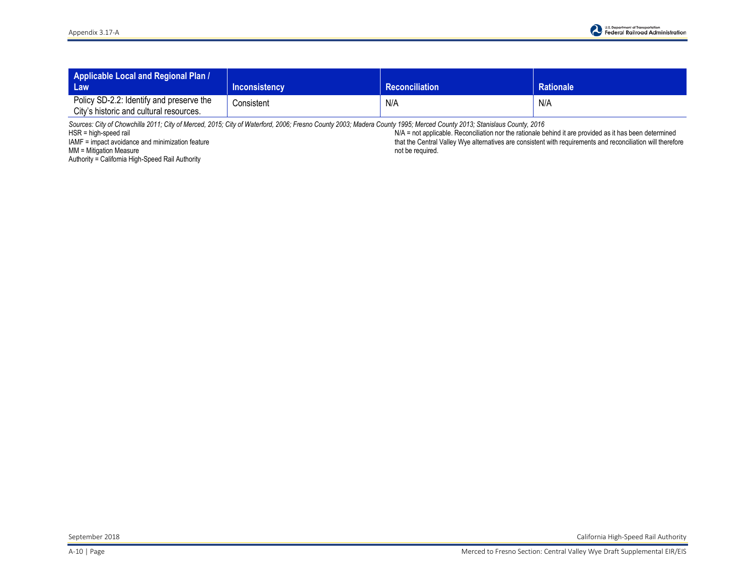| Applicable Local and Regional Plan /<br>Law                                         | <b>Inconsistency</b> | <b>Reconciliation</b> | <b>Rationale</b> |
|-------------------------------------------------------------------------------------|----------------------|-----------------------|------------------|
| Policy SD-2.2: Identify and preserve the<br>City's historic and cultural resources. | Consistent           | N/A                   | N/A              |

*Sources: City of Chowchilla 2011; City of Merced, 2015; City of Waterford, 2006; Fresno County 2003; Madera County 1995; Merced County 2013; Stanislaus County, 2016* 

HSR = high-speed rail

IAMF = impact avoidance and minimization feature

MM = Mitigation Measure

Authority = California High-Speed Rail Authority

N/A = not applicable. Reconciliation nor the rationale behind it are provided as it has been determined that the Central Valley Wye alternatives are consistent with requirements and reconciliation will therefore not be required.